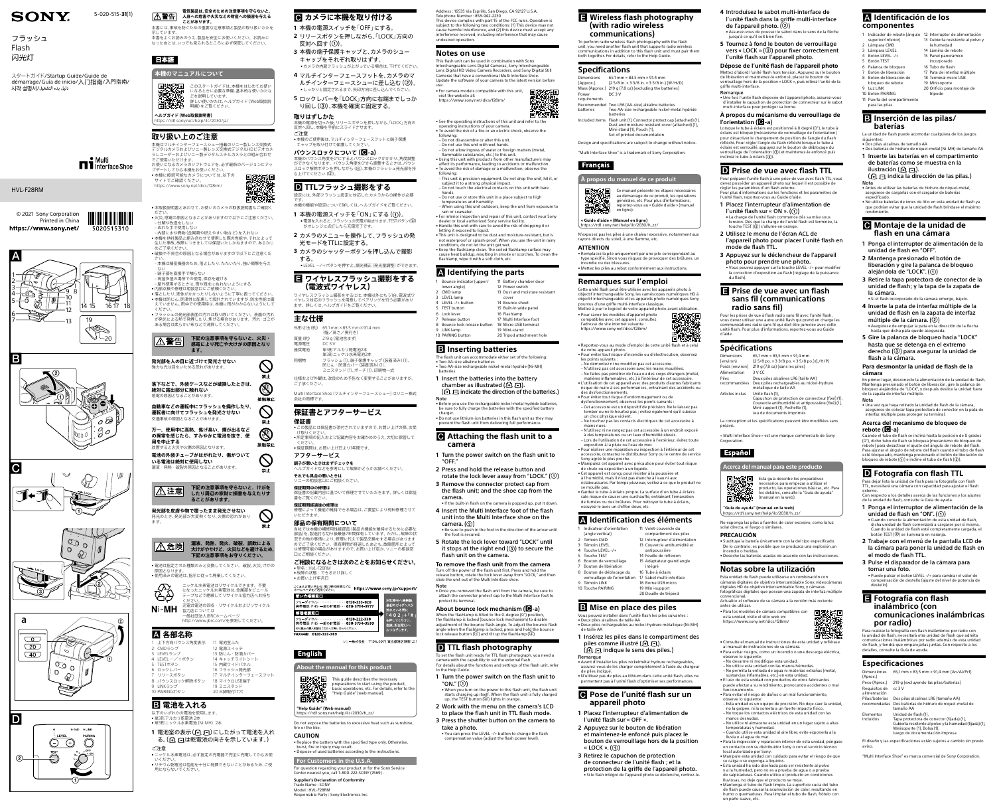#### **電気製品は、安全のための注意事項を守らないと、 人身への危害や火災などの財産への損害を与える A警告 ことがあります。**

。<br>本書をよくお読みのうえ、製品を安全にお使いください。お読みに なったあとは、いつでも見られるところに必ず保管してください。

**ヘルプガイド(Web取扱説明書)** tps://rd1.sony.net/help/ilc/2030/ia

示しています。

日本語

**本機のマニュアルについて**

プデートしてから本機をお使いください。 •本機に接続可能なカメラについては、以下の

このスタートガイドは、本機をはじめてお使い になるときに必要な準備、基本的な使いかたな

どを説明しています。

• 本取扱説明書とあわせて、お使いのカメラの取扱説明書もご確認く - ださい。<br>● 火災、感電の原因となることがありますので以下にご注意ください。

詳しい使いかたは、ヘルプガイド(Web取扱説

明書)をご覧ください。

**取り扱い上のご注意**

本機はマルチインターフェースシュー搭載のソニー製レンズ交換式 デジタルカメラおよびソニー製レンズ交換式デジタルHDビデオカメ ラレコーダーおよびソニー製デジタルスチルカメラとの組み合わせ

、ことか。<br>お使いになるカメラのソフトウェアを、必ず最新のバージョンにアッ

でご使用いただけます。

- 屋外使用するときは、雨や海水にぬれないようにする<br>● 内部点検や修理は相談窓口にご依頼ください。<br>● 落としたり、液体がかかったりしないように丁寧に扱ってください。<br>● 本機は防じん、防滴性に配慮して設計されていますが、防水性能は備 えていません。雨中での使用時は、本機に雨がかからないようにして

- ヽ/ニこぃ。<br>• フラッシュの発光部表面の汚れは取り除いてください。表面の汚れ <sub>フラフラゴ</sub>の<sub>2020</sub>』。<br>が発光による熱で発煙したり、焦げる場合があります。汚れ・ゴミが

**ます。 発光部を人の目に近づけて発光させない** 強力な光は目をいためる恐れがあります

サイトでご確認ください。 <https://www.sony.net/dics/f28rm/>

らい 分解や改造をしない 〟<br>ぬれた手で使用しない

‒ 内部に水や異物(金属類や燃えやすい物など)を入れない • 本機を他社製品と組み合わせて使用した際の性能や、それによって 生じた事故、故障につきましては保証いたしかねますので、あらかじ — めご了承ください。<br>● 破損や不具合の原因となる場合がありますので以下にご注意くだ さい。 ‒ 本機は精密機器のため、落としたり、たたいたり、強い衝撃を与え

ない ‒ 端子部を直接手で触らない

 **各部名称** 上下方向バウンス角度表示

9 LINKランプ 10 PAIRINGボタン

 **電池を入れる** \_\_\_<br>以下のいずれかの雷池を使用します • 単3形アルカリ乾電池 2本 •単3形ニッケル水素電池 (Ni-MH) 2本

ください。

|△警告|

- 高温多湿の場所での使用、保存を避ける

ある場合は柔らかい布などで清掃してください。

- **1** 本機の電源スイッチを「OFF」にする。
	- **2** リリースボタンを押しながら、「LOCK」方向の 反対へ回す(①)。
	- **3** 本機の端子保護キャップと、カメラのシュー キャップをそれぞれ取りはずす。
	- カメラの内蔵フラッシュが上がっている場合は、下げてください。 **4** マルチインターフェースフットを、カメラのマ ルチインターフェースシューに差し込む(2)。
	- • しっかりと固定されるまで、矢印方向に差し込んでください。 **5** ロックレバーを「LOCK」方向に右端までしっか り回し (3)、本機を確実に固定する。

**下記の注意事項を守らないと、火災・ 感電により死亡や大けがの原因となり**

> $\bigcirc$ 禁止  $\circledS$ 接触禁止  $\bigcirc$

> > 禁止

O

接触禁止

 $\bigcirc$ 禁止

 $\bigcirc$ 禁止

本書には、事故を防ぐための重要な注意事項と製品の取り扱いかたを  **カメラに本機を取り付ける**

**落下などで、外装ケースなどが破損したときは、**

**絶対に露出部分に触れない** 感電の原因となることがあります。

**自動車などの運転中にフラッシュを操作したり、 運転者に向けてフラッシュを発光させない** 交通事故の原因となることがあります。

キャップを取り付けて保護してください。 **バウンスロックについて(-a)** 本機のバウンス角度を0°にするとバウンスロックがかかり、角度調整 ができなくなります。バウンス角度を0°から調整するときは、バウン 。<br>ク解除ボタンを押しながら (①)、本機のフラッシュ発光部を持

**万一、使用中に高熱、焦げ臭い、煙が出るなど の異常を感じたら、すみやかに電池を抜き、使**

**用を中止する**

|八注意|

放置すると火災や火傷の原因となります。

**電池の外装チューブがはがれたり、傷がついて**

**いる電池は絶対に使用しない**

漏液・発熱・破裂の原因となることがあります。

**下記の注意事項を守らないと、けがを したり周辺の家財に損害を与えたりす**

**ることがあります。**

**発光部を皮膚や物で覆ったまま発光させない** 発光のとき、発光部が大変熱くなり、火傷の恐れがあり

ます。

**漏液、発熱、発火、破裂、誤飲による 大けがややけど、火災などを避けるため、 下記の注意事項をお守りください。**

• 電池は指定された種類のみと交換してください。破裂、火災、けがの

原因となります。

**EB** 

|<u>八</u>危険|

• 使用済みの電池は、指示に従って廃棄してください。

**保証書** ------------<br>• この製品には保証書が添付されていますので、お買い上げの際、お受 け取りください。 - ↑ ・<br>● 所定事項の記入および記載内容をお確かめのうえ、大切に保管して

- ください。<br>● 保証期間は、お買い上げ日より1年間です。

ニッケル水素電池はリサイクルできます。不要 ークアルカ州にはないファイングでです。<br>になったニッケル水素電池は、金属部をビニール テープなどで絶縁してリサイクル協力店へお持ち ください。 充電式電池の回収・リサイクルおよびリサイクル 協力店については

一般社団法人JBRCホームページ <http://www.jbrc.com/>を参照してください。

る。(4) 口は乾電池の向きを示しています。)

2 CMDランプ 3 LEVELランプ 4 LEVEL ー/+ボタン 5 TESTボタン 6 ロックレバー リリースボタン 8 バウンスロック解除ボタン 11 電池室ふた 12 電源スイッチ 13 防じん・防滴カバー 14 キャッチライトシート 15 内蔵ワイドパネル 16 フラッシュ発光部 17 マルチインターフェースフット

18 マイクロUSB端子 19 ミニスタンド 20 三脚取付け穴

#### Do not expose the batteries to excessive heat such as sunshine, fire or the like

**1** 電池室の表示(10 ロ)にしたがって電池を入れ **CAUTION**

ご注意

• ニッケル水素電池は、必ず指定の充電器で完全に充電してからお使 いください。 • リチウム乾電池は性能を十分に発揮できないことがあるため、ご使

用にならないでください。

**取りはずしかた** 本機の電源を切った後、リリースボタンを押しながら、「LOCK」方向の

反対へ回し、本機を手前にスライドさせます。 ご注意 • 本機のご使用後は、マルチインターフェースフットに端子保護

## **TTLフラッシュ撮影をする**

設定には、外部フラッシュ設定に対応したカメラからの操作が必要 です。 本機の機能や設定について詳しくは、ヘルプガイドをご覧ください。

- 
- 1 本機の電源スイッチを「ON」にする(①)。 •電源を入れると、フラッシュの充電が始まります。TESTボタン(②)<br>- がオレンジに点灯したら充電完了です。
- **2** カメラのメニューを操作して、フラッシュの発 光モードをTTLに設定する。
- **3** カメラのシャッターボタンを押し込んで撮影 する。 -<br>●LEVEL ー/+ボタンを押すと、調光補正 (発光量調整) ができます。

# **ワイヤレスフラッシュ撮影をする**

**(電波式ワイヤレス)** ワイヤレスフラッシュ撮影をするには、本機以外にもう1台、電波式ワ イヤレス対応のフラッシュを用意してペアリングを行う必要があり ます。詳しくは、ヘルプガイドをご覧ください。

**主な仕様**

ち上げてください(②)。

| 工ヘローズ                                      |                                                                                   |  |
|--------------------------------------------|-----------------------------------------------------------------------------------|--|
| 外形寸法(約)                                    | 65.1 mm×83.5 mm×91.4 mm<br>(幅/高さ/奥行き)                                             |  |
| 質量 (約)                                     | 219 g (電池含まず)                                                                     |  |
| 電源電圧                                       | DC 3 V                                                                            |  |
| 推奨電池                                       | 単3形アルカリ乾雷池2本<br>単3形ニッケル水素電池2本                                                     |  |
| 同梱物                                        | フラッシュ(1)、端子保護キャップ (装着済み)(1)、<br>防じん・防滴カバー (装着済み) (1)、<br>ミニスタンド (1)、ポーチ (1)、印刷物一式 |  |
| 仕様および外観は、改良のため予告なく変更することがありますが<br>ご了承ください。 |                                                                                   |  |

Multi Interface Shoe(マルチインターフェースシュー)はソニー株式 会社の商標です。

# **保証書とアフターサービス**

#### **アフターサービス 調子が悪いときはまずチェックを**

…………………………………………<br>ヘルプガイドなどを参考にして故障かどうかお調べください。

#### **それでも具合の悪いときは** ソニーの相談窓口にご相談ください。

**保証期間中の修理は** 保証書の記載内容に基づいて修理させていただきます。詳しくは保証 書をご覧ください。

**保証期間経過後の修理は** 修理によって機能が維持できる場合は、ご要望により有料修理させて いただきます。

#### **部品の保有期間について**

当社では本機の補修用性能部品(製品の機能を維持するために必要な **ご相談になるときは次のことをお知らせください。**

部品)を、製造打ち切り後最低7年間保有しています。ただし、故障の状 況その他の事情により、修理に代えて製品交換をする場合があります のでご了承ください。保有期間が経過したあとも、故障箇所によっ は修理可能の場合がありますので、お買い上げ店か、ソニーの相談窓 口にご相談ください。

• 型名:HVL-F28RM

•お買い上げ年月日

• 故障の状態:できるだけ詳しく



ソニー株式会社 〒108-0075 東京都港区港南1-7-1

| よくあるお問い合わせ、窓口受付時間などは<br>ホームページをご活用ください。                                                                            | https://www.sony.jp/support/      |
|--------------------------------------------------------------------------------------------------------------------|-----------------------------------|
| 使い方相談窓口<br>フリーダイヤル……………0120-333-020<br>携帯電話·PHS·一部のIP電話…<br>050 3754 9577                                          | 左記番号へ接続後、<br>最初のガイダンスが<br>流れている間に |
| 修理相談窓口                                                                                                             | $\sqrt{402}$ $+$ $\sqrt{41}$      |
| フリーダイヤル · · · · · · · · · · · · · · · 0120-222-330<br>携帯電話·PHS·一部のIP電話… 050-3754-9599<br>※付属品の購入相談はこちらへお問い合わせください。 | を押してください。<br>直接、担当窓口へ<br>おつなぎします。 |

# **English**



[https://rd1.sony.net/help/ilc/2030/h\\_zz/](https://rd1.sony.net/help/ilc/2030/h_zz/)

• Replace the battery with the specified type only. Otherwise, burst, fire or injury may result. • Dispose of used batteries according to the instructions.

**For Customers in the U.S.A.** For question regarding your product or for the Sony Service Center nearest you, call 1-800-222-SONY (7669) .

#### **1** Insérez les piles dans le compartiment des piles comme illustré (FLFI).  $\left(\begin{matrix} \cdot & \cdot \\ \cdot & \cdot \\ \cdot & \cdot \end{matrix}\right)$  indique le sens des piles.)

**Supplier's Declaration of Conformity** Trade Name : SONY

• N'utilisez pas de piles au lithium dans cette unité flash, elles ne permettent pas à l'unité flash d'optimiser ses performan

Model : HVL-F28RM Responsible Party : Sony Electronics Inc.

### **Pose de l'unité flash sur un appareil photo**

#### **Wireless flash photography (with radio wireless communications)**

To perform radio wireless flash photography with the flash unit, you need another flash unit that supports radio wireless communications in addition to this flash unit and must pair them both together. For details, refer to the Help Guide.

- **4** Introduisez le sabot multi-interface de l'unité flash dans la griffe multi-interface de l'appareil photo.  $(Q)$
- Assurez-vous de pousser le sabot dans le sens de la flèche jusqu'à ce qu'il soit bien fixé. **5** Tournez à fond le bouton de verrouillage vers « LOCK »  $(3)$  pour fixer correctement

### **Specifications**

Dimensions (Approx.)

65.1 mm × 83.5 mm × 91.4 mm (2 5/8 in. × 3 3/8 in. × 3 5/8 in.) (W/H/D) Mass (Approx.) 219 g (7.8 oz) (excluding the batteries) DC 3 V

Power requirements

Recommended batteries Two LR6 (AA-size) alkaline batteries Two AA-size rechargeable nickel-metal hydride

Lorsque le tube à éclairs est positionné à 0 degré (0°), le tube à éclairs est bloqué (mécanisme de verrouillage de l'orientation) pour désactiver le changement de position de l'angle du flash réfléchi. Pour régler l'angle du flash réfléchi lorsque le tube à éclairs est verrouillé, appuyez sur le bouton de déblocage du<br>verrouillage de l'orientation (①) et maintenez-le enfoncé puis<br>inclinez le tube à éclairs (②).

#### **P** Prise de vue avec flash TTL

- batteries Included items Flash unit (1), Connector protect cap (attached) (1), Dust and moisture resistant cover (attached) (1), Mini-stand (1), Pouch (1), Set of printed documentation
- Design and specifications are subject to change without notice. "Multi Interface Shoe" is a trademark of Sony Corporation.

## **À propos du manuel de ce produit**

Ce manuel présente les étapes nécessaires au démarrage de ce produit, les opérations générales, etc. Pour plus d'informations, reportez-vous au « Guide d'aide » (manuel en ligne).

#### **« Guide d'aide » (Manuel en ligne)** [https://rd1.sony.net/help/ilc/2030/h\\_zz/](https://rd1.sony.net/help/ilc/2030/h_zz/)

N'exposez pas les piles à une chaleur excessive, notamment aux rayons directs du soleil, à une flamme, etc.

**ATTENTION**

**Français** 

• Remplacez la pile uniquement par une pile correspondant au type spécifié. Sinon vous risquez de provoquer des brûlures, un incendie ou des blessures. • Mettez les piles au rebut conformément aux instructions.

| Dimensions<br>(environ) | 65,1 mm $\times$ 83,5 mm $\times$ 91,4 mm<br>(25/8 po. × 33/8 po. × 35/8 po.) (L/H/P)                                      |
|-------------------------|----------------------------------------------------------------------------------------------------------------------------|
| Poids (environ)         | 219 g (7,8 oz) (sans les piles)                                                                                            |
| Alimentation            | 3 V CC                                                                                                                     |
| Piles<br>recommandées   | Deux piles alcalines LR6 (taille AA)<br>Deux piles rechargeables au nickel-hydrure<br>métallique de taille AA              |
| Articles inclus         | Unité flash (1),<br>Capuchon de protection de connecteur (fixé) (1)<br>Couvercle antihumidité et antipoussière (fixé) (1), |

#### **Remarques sur l'emploi**

Cette unité flash peut être utilisée avec les appareils photo à objectif interchangeable Sony, les caméscopes numériques HD à objectif interchangeable et les appareils photo numériques Sony

> « Multi Interface Shoe » est une marque commerciale de Sony Corporatio

#### **Español**

pourvus d'une griffe multi-interface classique.



• Pour savoir les modèles d'appareil photo compatibles avec cet appareil, consultez l'adresse de site internet suivante : <https://www.sony.net/dics/f28rm/>

• Reportez-vous au mode d'emploi de cette unité flash et à celui de votre appareil photo. • Pour éviter tout risque d'incendie ou d'électrocution, observez

Actualice el software de su cámara a la versión más reciente antes de utilizar.  $\bullet$  Para los m

les points suivants : – Ne démontez ni ne modifiez pas cet accessoire. – N'utilisez pas cet accessoire avec les mains mouillées.

– Ne faites pas pénétrer de l'eau ou des corps étrangers (métal, matières inflammables, etc.) à l'intérieur de cet accessoire. • L'utilisation de cet appareil avec des produits d'autres fabricants risque de nuire à ses performances, entraînant des accidents ou

des dysfonctionnements. • Pour éviter tout risque d'endommagement ou de

dysfonctionnement, observez les points suivants : – Cet accessoire est un dispositif de précision. Ne le laissez pas tomber ou ne le heurtez pas ; évitez également qu'il subisse un choc physique violent. – Ne touchez pas les contacts électriques de cet accessoire à

mains nues.

– N'utilisez ni ne rangez pas cet accessoire à un endroit exposé à des températures ou un taux d'humidité élevés. – Lors de l'utilisation de cet accessoire à l'extérieur, évitez toute

exposition à la pluie ou l'eau de mer. • Pour réaliser une réparation ou inspection à l'intérieur de cet accessoire, contactez le distributeur Sony ou le centre de service Sony agréé le plus proche. • Manipulez cet appareil avec précaution pour éviter tout risque

de chute ou exposition à un liquide. • Cet appareil est conçu pour résister à la poussière et à l'humidité, mais il n'est pas étanche à l'eau ni aux

éclaboussures. Par temps pluvieux, veillez à ce que le produit ne

asegúrese de cargarlas con el cargador de baterías especificado. • No utilice baterías de iones de litio en esta unidad de flash ya que podrían evitar que la unidad de flash brindase el máx

se mouille pas. • Gardez le tube à éclairs propre. La surface d'un tube à éclairs sale risque de causer une surchauffe, entraînant l'émanation de fumées ou des brûlures. Pour nettoyer le tube à éclairs, essuyez-le avec un chiffon doux, etc.

#### **Identification des éléments**

(angle vertical) 2 Témoin CMD 3 Témoin LEVEL

Touche TEST

**5** Gire la palanca de bloqueo hacia "LOCK" hasta que se detenga en el extremo derecho (3) para asegurar la unidad de

9 Témoin LINK 10 Touche PAIRING

- 1 Indicateur d'orientation 4 Touche LEVEL -/+ 11 Volet-couvercle du compartiment des piles 12 Interrupteur d'alimentation 13 Couvercle antihumidité et
- 6 Bouton de verrouillage antipoussière 14 Feuille de réflexior 15 Adaptateur grand angle
- 7 Bouton de libération 8 Bouton de déblocage du verrouillage de l'orientation intégré 16 Tube à éclairs 17 Sabot multi-interface
	- 18 Borne USB micro 19 Mini-support 20 Douille de trépied

Cuando el tubo de flash se inclina hasta la posición de 0 grados (0°), dicho tubo de flash se bloquea (mecanismo de bloqueo de rebote) para desactivar el ajuste del ángulo de rebote del flash. Para ajustar el ángulo de rebote del flash cuando el tubo de flash esté bloqueado, mantenga presionado el botón de liberación de<br>bloqueo de rebote (①) e incline el tubo de flash (②).

## **Mise en place des piles**

Vous pouvez installer dans l'unité flash les piles suivantes : • Deux piles alcalines de taille AA

• Deux piles rechargeables au nickel-hydrure métallique (Ni-MH)

de taille AA

**D** Fotografía con flash TTL Para dejar lista la unidad de flash para la fotografía con flash TTL, necesitará una cámara con capacidad para ajustar el flash externo. Con respecto a los detalles acerca de las funciones y los ajustes

Remarque

• Avant d'installer les piles nickelmétal hydrure rechargeables, assurez-vous de les charger complètement à l'aide du chargeur de piles indiqué.

**1** Placez l'interrupteur d'alimentation de l'unité flash sur « OFF ».

**2** Appuyez sur le bouton de libération et maintenez-le enfoncé puis placez le bouton de verrouillage hors de la position

**3** Retirez le capuchon de protection de connecteur de l'unité flash ; et la protection de la griffe de l'appareil photo. • Si le flash intégré de l'appareil photo se déclenche, rentrez-le.

#### l'unité flash sur l'appareil photo. **Dépose de l'unité flash de l'appareil photo** Mettez d'abord l'unité flash hors tension. Appuyez sur le bouton de libération et maintenez-le enfoncé, placez le bouton de verrouillage hors de la position « LOCK », puis retirez l'unité de la

面变球 • See the operating instructions of this unit and refer to the operating instructions of your camera. • To avoid the risk of a fire or an electric shock, observe the

#### griffe multi-interface. Remarque

• Une fois l'unité flash déposée de l'appareil photo, assurez-vous d'installer le capuchon de protection de connecteur sur le sabot multi-interface pour protéger sa borne.

#### **À propos du mécanisme du verrouillage de l'orientation (-a)**

 Bounce indicator (upper/ lower angle) 2 CMD lamp LEVEL lamp LEVEL -/+ button TEST button Lock lever Release buttor Bounce lock release button 18 Micro USB terminal LINK lamp PAIRING button Battery chamber door Power switch Dust and moisture resistant cover Bounce sheet Built-in wide panel Flashlamp 17 Multi Interface foo Mini-stand 20 Tripod attachment hole

### **B** Inserting batteries

Pour préparer l'unité flash à une prise de vue avec flash TTL, vous devez posséder un appareil photo sur lequel il est possible de régler les paramètres d'un flash externe. Pour plus d'informations sur les fonctions et les paramètres de l'unité flash, reportez-vous au Guide d'aide.

- **1** Placez l'interrupteur d'alimentation de **l'unité flash sur « ON ».**  $(①)$ <br>• La charge de l'unité flash commence dès sa mise sous • La charge de l'unité flash commence dès sa mise sous<br>tension. Dès que la charge de l'unité flash est terminée, la<br>touche TEST (②) s'allume en orange.
- **2** Utilisez le menu de l'écran ACL de l'appareil photo pour placer l'unité flash en
- mode de flash TTL. **3** Appuyez sur le déclencheur de l'appareil

it stops at the right end  $(3)$  to secure the flash unit on the camera.

photo pour prendre une photo. • Vous pouvez appuyer sur la touche LEVEL -/+ pour modifier la correction d'exposition au flash (réglage de la puissance

du flash).

### **Prise de vue avec un flash sans fil (communications radio sans fil)**

#### **About bounce lock mechanism (-a)** When the flashlamp is tilted to the 0-degree (0°) position

the flashlamp is locked (bounce lock mechanism) to disable adjustment of the bounce flash angle. To adjust the bounce flash angle when the flashlamp is locked, press and hold the bounce lock release button  $(0)$  and tilt up the flashlamp  $(2)$ .

## **D** TTL flash photography

Pour les prises de vue à flash radio sans fil avec l'unité flash, vous devez utiliser une autre unité flash qui prend en charge les communications radio sans fil qui doit être jumelée avec cette unité flash. Pour plus d'informations, reportez-vous au Guide d'aide.

### **Spécifications**

- **1** Turn the power switch on the flash unit to "ON." $($   $\odot$ ) • When you turn on the power to this flash unit, the flash unit
- starts charging up itself. When the flash unit is fully charged<br>up, the TEST button (②) lights in orange. **2** Work with the menu on the camera's LCD
- to place the flash unit in TTL flash mode. **3** Press the shutter button on the camera to
- take a photo. • You can press the LEVEL -/+ button to change the flash
- compensation value (adjust the flash power level).
	- « LOCK ».  $(\textcircled{\scriptsize{1}})$ 
		-

89 10 14 15 13 12 3 2 1 4 5 6 7 19  $\begin{picture}(120,17) \put(15,15){\line(1,0){155}} \put(15,15){\line(1,0){155}} \put(15,15){\line(1,0){155}} \put(15,15){\line(1,0){155}} \put(15,15){\line(1,0){155}} \put(15,15){\line(1,0){155}} \put(15,15){\line(1,0){155}} \put(15,15){\line(1,0){155}} \put(15,15){\line(1,0){155}} \put(15,15){\line(1,0){155}} \put(15,15$ 16 17  $|A|$ 

© 2021 Sony Corporation Printed in China https://www.sony.net/

> Mini-support (1), Pochette (1), Jeu de documents imprimés La conception et les spécifications peuvent être modifiées sans

préavis.



Esta guía describe los preparativos necesarios para empezar a utilizar el producto, las operaciones básicas, etc. Para los detalles, consulte la "Guía de ayuda" manual en la web)

**"Guía de ayuda" (manual en la web)** [https://rd1.sony.net/help/ilc/2030/h\\_zz/](https://rd1.sony.net/help/ilc/2030/h_zz/)

No exponga las pilas a fuentes de calor excesivo, como la luz solar directa, el fuego o similares.

#### **PRECAUCIÓN**

• Sustituya la batería únicamente con la del tipo especificado. De lo contrario, es posible que se produzca una explosión,un incendio o heridas. • Deseche las baterías usadas de acuerdo con las instrucciones.

#### **Notas sobre la utilización**

Esta unidad de flash puede utilizarse en combinación con cámaras digitales de objetivo intercambiable Sony, videocámaras digitales HD de objetivo intercambiable Sony, y cámaras fotográficas digitales que posean una zapata de interfaz múltiple convencional.

esta unidad, visite el sitio web en: <https://www.sony.net/dics/f28rm/>



- Consulte el manual de instrucciones de esta unidad y refiérase al manual de instrucciones de su cámara. • Para evitar riesgos, como un incendio o una descarga eléctrica,
- observe lo siguiente: No desarme ni modifique esta unidad.
- No utilice esta unidad con las manos húmedas. – No permita la entrada de agua ni materias extrañas (metal,
- sustancias inflamables, etc.) en esta unidad. • El uso de esta unidad con productos de otros fabricantes puede afectar a su rendimiento, provocando accidentes o mal
- funcionamiento. • Para evitar el riesgo de daños o un mal funcionamiento, observe lo siguiente:
- Esta unidad es un equipo de precisión. No deje caer la unidad, no la golpee, ni la someta a un fuerte impacto físico. – No toque los contactos eléctricos de esta unidad con las manos desnudas.
- No utilice ni almacene esta unidad en un lugar sujeto a altas temperaturas y humedad. – Cuando utilice esta unidad al aire libre, evite exponerla a la
- lluvia o al agua de mar. Para la inspección y reparación interior de esta unidad, póngase
- en contacto con su distribuidor Sony o con el servicio técnico local autorizado por Sony. • Manipule esta unidad con cuidado para evitar el riesgo de que
- se caiga o se exponga a líquidos. • Esta unidad ha sido diseñada para ser resistente al polvo
- y a la humedad, pero no es a prueba de agua o a prueba de salpicaduras. Cuando utilice el producto en condiciones lluviosas, no deje que el producto se moje.
- Mantenga el tubo de flash limpio. La superficie sucia del tubo de flash puede causar la acumulación de calor, resultando en humo o quemaduras. Para limpiar el tubo de flash, frótelo con un paño suave, etc.

#### **Identificación de los componentes**

#### 1 Indicador de rebote (ángulo 12 Interruptor de alimentación superior/inferior)

- 2 Lámpara CMD
- 
- 3 Lámpara LEVEL 4 Botón LEVEL -/+
- 5 Botón TEST
- 6 Palanca de bloqueo 7 Botón de liberación
- 8 Botón de liberación de
- bloqueo de rebote 9 Luz LINK
- 10 Botón PAIRING 11 Puerta del compartimiento
- para las pilas

13 Cubierta resistente al polvo y

la humedad 14 Lámina de rebote 15 Panel panorámico incorporado 16 Tubo de flash 17 Pata de interfaz múltiple 18 Terminal micro USB 19 Minisoporte 20 Orificio para montaje de trípode

#### **Inserción de las pilas/ baterías**

La unidad de flash puede acomodar cualquiera de los juegos siguientes: • Dos pilas alcalinas de tamaño AA

- Dos baterías de hidruro de níquel-metal (Ni-MH) de tamaño AA **1** Inserte las baterías en el compartimento de baterías como se muestra en la ilustración ( $\boxdot \boxdot$ ).
- ( $\oplus$   $\boxdot$  indica la dirección de las pilas.) Nota • Antes de utilizar las baterías de hidruro de níquel-metal,

rendimiento.

 **Montaje de la unidad de flash en una cámara**

**1** Ponga el interruptor de alimentación de la

unidad de flash en "OFF". **2** Mantenga presionado el botón de liberación y gire la palanca de bloqueo

alejándola de "LOCK".  $(①)$ 

múltiple de la cámara.  $(Q)$ 

**3** Retire la tapa protectora de conector de la unidad de flash; y la tapa de la zapata de

la cámara.

• Si el flash incorporado de la cámara emerge, bájelo. **4** Inserte la pata de interfaz múltiple de la unidad de flash en la zapata de interfaz

• Asegúrese de empujar la pata en la dirección de la flecha

hasta que dicha pata quede asegurada.

flash a la cámara.

de la zapata de interfaz múltip

**Para desmontar la unidad de flash de la** 

**cámara**

En primer lugar, desconecte la alimentación de la unidad de flash. Mantenga presionado el botón de liberación, gire la palanca de bloqueo alejándola de "LOCK", y después deslice la unidad fuera

Nota • Una vez que haya retirado la unidad de flash de la cámara, asegúrese de colocar tapa protectora de conector en la pata de

interfaz múltiple para proteger su terminal. **Acerca del mecanismo de bloqueo de** 

**rebote (-a)**

de la unidad de flash, consulte la Guía de ayuda.

unidad de flash en "ON".  $(①)$ 

botón TEST (2) se iluminará en naranja.

**1** Ponga el interruptor de alimentación de la

• Cuando conecte la alimentación de esta unidad de flash, dicha unidad de flash comenzará a cargarse por sí misma. Cuando la unidad de flash esté completamente cargada, el

**2** Trabaje con el menú de la pantalla LCD de la cámara para poner la unidad de flash en

el modo de flash TTL.

**3** Pulse el disparador de la cámara para

tomar una foto.

• Puede pulsar el botón LEVEL -/+ para cambiar el valor de compensación de destello (ajuste del nivel de potencia de

destello).

 **Fotografía con flash inalámbrico (con** 

**comunicaciones inalámbricas** 

**por radio)**

Para realizar la fotografía con flash inalámbrico por radio con la unidad de flash, necesitará otra unidad de flash que admita comunicaciones inalámbricas por radio además de esta unidad de flash, y tendrá que emparejarlas juntas. Con respecto a los

detalles, consulte la Guía de ayuda.

**Especificaciones**

(Aprox.)

Dimensiones 65,1 mm × 83,5 mm × 91,4 mm (An/Al/Prf)

Peso (Aprox.) 219 g (excluyendo las pilas/baterías)

Requisitos de cc 3 V alimentación

Pilas/baterías Dos pilas alcalinas LR6 (tamaño AA) recomendadas Dos baterías de hidruro de níquel-metal de tamaño AA

Elementos incluidos

Unidad de flash (1),

Tapa protectora de conector (fijada) (1), Cubierta resistente al polvo y la humedad (fijada) (1),

Minisoporte (1), Bolsa (1), Juego de documentación impresa El diseño y las especificaciones están sujetos a cambio sin previo

aviso.

"Multi Interface Shoe" es marca comercial de Sony Corporation.

Address : 16535 Via Esprillo, San Diego, CA 92127 U.S.A. Telephone Number : 858-942-2230 This device complies with part 15 of the FCC rules. Operation is subject to the following two conditions: (1) This device may not cause harmful interference, and (2) this device must accept any interference received, including interference that may cause undesired operation.

### **Notes on use**

This flash unit can be used in combination with Sony Interchangeable Lens Digital Cameras, Sony Interchangeable<br>Lens Digital HD Video Camera Recorders, and Sony Digital Still<br>Cameras that have a conventional Multi Interface Shoe. Update the software of your camera to the latest version before use.

• For camera models compatible with this unit, visit the website at: <https://www.sony.net/dics/f28rm/>

- following: Do not disassemble or alter this unit. – Do not use this unit with wet hands.
- Do not allow ingress of water or foreign matters (metal, flammable substances, etc.) to this unit. • Using this unit with products from other manufacturers may
- affect its performance, leading to accidents or malfunction. To avoid the risk of damage or a malfunction, observe the following:
- This unit is precision equipment. Do not drop the unit, hit it, or subject it to a strong physical impact. – Do not touch the electrical contacts on this unit with bare
- hands. Do not use or store this unit in a place subject to high temperatures and humidity.
- When using this unit outdoors, keep the unit from exposure to rain or seawater. • For interior inspection and repair of this unit, contact your Sony
- dealer or local authorized Sony service facility. Handle this unit with care to avoid the risk of dropping it or letting it exposed to liquid.
- This unit is designed to be dust and moisture-resistant, but is not waterproof or splash-proof. When you use the unit in rainy conditions, do not let the unit get wet.
- Keep the flashlamp clean. The soiled flashlamp surface may cause heat buildup, resulting in smoke or scorches. To clean the flashlamp, wipe it with a soft cloth, etc.

### **Identifying the parts**

The flash unit can accommodate either set of the following: • Two AA-size alkaline batteries • Two AA-size rechargeable nickel-metal hydride (Ni-MH) batteries

**1** Insert the batteries into the battery chamber as illustrated ( $\Gamma$ ).  $(\bigoplus \sqcup$  indicate the direction of the batteries.) Note

• Before you use the rechargeable nickel-metal hydride batteries, be sure to fully charge the batteries with the specified battery charger. • Do not use lithium-ion batteries in this flash unit as they may prevent the flash unit from delivering full performance.

#### **Attaching the flash unit to a camera**

- **1** Turn the power switch on the flash unit to
- "OFF." **2** Press and hold the release button and
- rotate the lock lever away from "LOCK."  $(1)$ **3** Remove the connector protect cap from
- the flash unit; and the shoe cap from the camera. • If the built-in flash on the camera is popped up, put it down.
- **4** Insert the Multi Interface foot of the flash unit into the Multi Interface shoe on the camera.  $(\circled{2})$ • Be sure to push in the foot in the direction of the arrow until
- the foot is secured. **5** Rotate the lock lever toward "LOCK" until

- **To remove the flash unit from the camera** Turn off the power of the flash unit first. Press and hold the release button, rotate the lock lever away from "LOCK," and then slide the unit out of the Multi Interface shoe. Note
- Once you removed the flash unit from the camera, be sure to attach the connector protect cap to the Multi Interface foot to protect its terminal.

To set the flash unit ready for TTL flash photograph, you need a camera with the capability to set the external flash. For details about the functions and settings of the flash unit, refer to the Help Guide.











HVL-F28RM

5-020-515-**31**(1)

スタートガイド/Startup Guide/Guide de démarrage/Guía de inicio/入门指南/入門指南/ 시작 설명서/



5020515310

# **SONY**

フラッシュ Flash 闪光灯